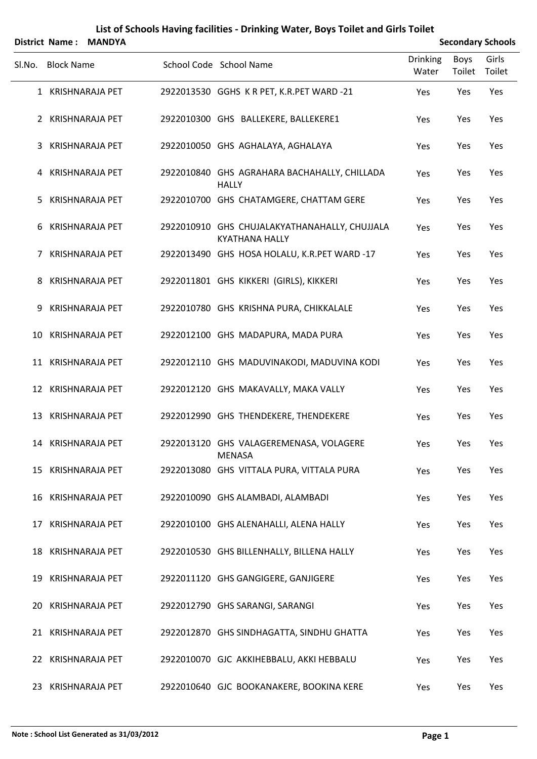|        | District Name:    | <b>MANDYA</b>          |                                                                        |                          |                | <b>Secondary Schools</b> |
|--------|-------------------|------------------------|------------------------------------------------------------------------|--------------------------|----------------|--------------------------|
| SI.No. | <b>Block Name</b> |                        | School Code School Name                                                | <b>Drinking</b><br>Water | Boys<br>Toilet | Girls<br>Toilet          |
|        |                   | 1 KRISHNARAJA PET      | 2922013530 GGHS K R PET, K.R.PET WARD -21                              | Yes                      | Yes            | Yes                      |
|        |                   | 2 KRISHNARAJA PET      | 2922010300 GHS BALLEKERE, BALLEKERE1                                   | Yes                      | Yes            | Yes                      |
| 3      |                   | <b>KRISHNARAJA PET</b> | 2922010050 GHS AGHALAYA, AGHALAYA                                      | Yes                      | Yes            | Yes                      |
|        |                   | 4 KRISHNARAJA PET      | 2922010840 GHS AGRAHARA BACHAHALLY, CHILLADA<br><b>HALLY</b>           | Yes                      | Yes            | Yes                      |
| 5.     |                   | <b>KRISHNARAJA PET</b> | 2922010700 GHS CHATAMGERE, CHATTAM GERE                                | Yes                      | Yes            | Yes                      |
| 6      |                   | <b>KRISHNARAJA PET</b> | 2922010910 GHS CHUJALAKYATHANAHALLY, CHUJJALA<br><b>KYATHANA HALLY</b> | Yes                      | Yes            | Yes                      |
| 7      |                   | <b>KRISHNARAJA PET</b> | 2922013490 GHS HOSA HOLALU, K.R.PET WARD -17                           | Yes                      | Yes            | Yes                      |
| 8      |                   | <b>KRISHNARAJA PET</b> | 2922011801 GHS KIKKERI (GIRLS), KIKKERI                                | Yes                      | Yes            | Yes                      |
| 9      |                   | <b>KRISHNARAJA PET</b> | 2922010780 GHS KRISHNA PURA, CHIKKALALE                                | Yes                      | Yes            | Yes                      |
|        |                   | 10 KRISHNARAJA PET     | 2922012100 GHS MADAPURA, MADA PURA                                     | Yes                      | Yes            | Yes                      |
|        |                   | 11 KRISHNARAJA PET     | 2922012110 GHS MADUVINAKODI, MADUVINA KODI                             | Yes                      | Yes            | Yes                      |
|        |                   | 12 KRISHNARAJA PET     | 2922012120 GHS MAKAVALLY, MAKA VALLY                                   | Yes                      | Yes            | Yes                      |
| 13     |                   | KRISHNARAJA PET        | 2922012990 GHS THENDEKERE, THENDEKERE                                  | Yes                      | Yes            | Yes                      |
|        |                   | 14 KRISHNARAJA PET     | 2922013120 GHS VALAGEREMENASA, VOLAGERE<br><b>MENASA</b>               | Yes                      | Yes            | Yes                      |
|        |                   | 15 KRISHNARAJA PET     | 2922013080 GHS VITTALA PURA, VITTALA PURA                              | Yes                      | Yes            | Yes                      |
|        |                   | 16 KRISHNARAJA PET     | 2922010090 GHS ALAMBADI, ALAMBADI                                      | Yes                      | Yes            | Yes                      |
|        |                   | 17 KRISHNARAJA PET     | 2922010100 GHS ALENAHALLI, ALENA HALLY                                 | Yes                      | Yes            | Yes                      |
|        |                   | 18 KRISHNARAJA PET     | 2922010530 GHS BILLENHALLY, BILLENA HALLY                              | Yes                      | Yes            | Yes                      |
|        |                   | 19 KRISHNARAJA PET     | 2922011120 GHS GANGIGERE, GANJIGERE                                    | Yes                      | Yes            | Yes                      |
|        |                   | 20 KRISHNARAJA PET     | 2922012790 GHS SARANGI, SARANGI                                        | Yes                      | Yes            | Yes                      |
|        |                   | 21 KRISHNARAJA PET     | 2922012870 GHS SINDHAGATTA, SINDHU GHATTA                              | Yes                      | Yes            | Yes                      |
|        |                   | 22 KRISHNARAJA PET     | 2922010070 GJC AKKIHEBBALU, AKKI HEBBALU                               | Yes                      | Yes            | Yes                      |
|        |                   | 23 KRISHNARAJA PET     | 2922010640 GJC BOOKANAKERE, BOOKINA KERE                               | Yes                      | Yes            | Yes                      |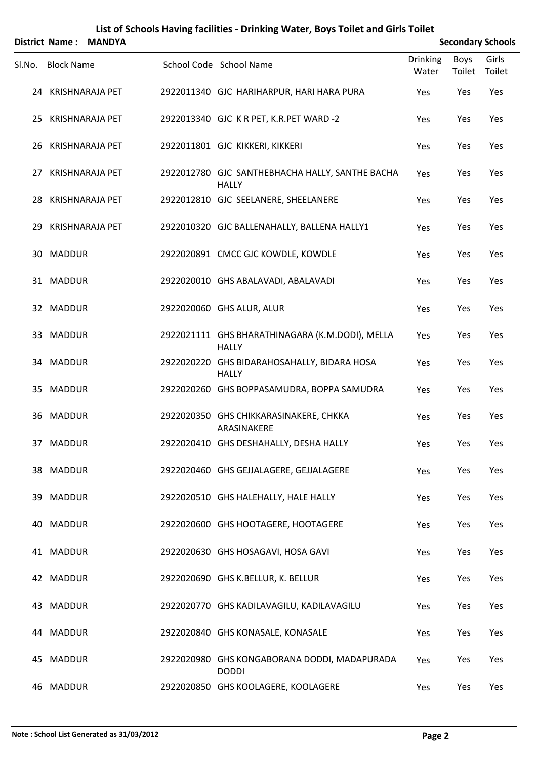|        | District Name:    | <b>MANDYA</b>      |                                                                 |                          |                       | <b>Secondary Schools</b> |
|--------|-------------------|--------------------|-----------------------------------------------------------------|--------------------------|-----------------------|--------------------------|
| Sl.No. | <b>Block Name</b> |                    | School Code School Name                                         | <b>Drinking</b><br>Water | <b>Boys</b><br>Toilet | Girls<br>Toilet          |
|        |                   | 24 KRISHNARAJA PET | 2922011340 GJC HARIHARPUR, HARI HARA PURA                       | Yes                      | Yes                   | Yes                      |
|        |                   | 25 KRISHNARAJA PET | 2922013340 GJC K R PET, K.R.PET WARD -2                         | Yes                      | Yes                   | Yes                      |
|        |                   | 26 KRISHNARAJA PET | 2922011801 GJC KIKKERI, KIKKERI                                 | Yes                      | Yes                   | Yes                      |
|        |                   | 27 KRISHNARAJA PET | 2922012780 GJC SANTHEBHACHA HALLY, SANTHE BACHA<br><b>HALLY</b> | Yes                      | Yes                   | Yes                      |
|        |                   | 28 KRISHNARAJA PET | 2922012810 GJC SEELANERE, SHEELANERE                            | Yes                      | Yes                   | Yes                      |
|        |                   | 29 KRISHNARAJA PET | 2922010320 GJC BALLENAHALLY, BALLENA HALLY1                     | Yes                      | Yes                   | Yes                      |
|        | 30 MADDUR         |                    | 2922020891 CMCC GJC KOWDLE, KOWDLE                              | Yes                      | Yes                   | Yes                      |
|        | 31 MADDUR         |                    | 2922020010 GHS ABALAVADI, ABALAVADI                             | Yes                      | Yes                   | Yes                      |
|        | 32 MADDUR         |                    | 2922020060 GHS ALUR, ALUR                                       | Yes                      | Yes                   | Yes                      |
|        | 33 MADDUR         |                    | 2922021111 GHS BHARATHINAGARA (K.M.DODI), MELLA<br><b>HALLY</b> | Yes                      | Yes                   | Yes                      |
|        | 34 MADDUR         |                    | 2922020220 GHS BIDARAHOSAHALLY, BIDARA HOSA<br><b>HALLY</b>     | Yes                      | Yes                   | Yes                      |
|        | 35 MADDUR         |                    | 2922020260 GHS BOPPASAMUDRA, BOPPA SAMUDRA                      | Yes                      | Yes                   | Yes                      |
|        | 36 MADDUR         |                    | 2922020350 GHS CHIKKARASINAKERE, CHKKA<br>ARASINAKERE           | Yes                      | Yes                   | Yes                      |
|        | 37 MADDUR         |                    | 2922020410 GHS DESHAHALLY, DESHA HALLY                          | Yes                      | Yes                   | Yes                      |
|        | 38 MADDUR         |                    | 2922020460 GHS GEJJALAGERE, GEJJALAGERE                         | Yes                      | Yes                   | Yes                      |
|        | 39 MADDUR         |                    | 2922020510 GHS HALEHALLY, HALE HALLY                            | Yes                      | Yes                   | Yes                      |
|        | 40 MADDUR         |                    | 2922020600 GHS HOOTAGERE, HOOTAGERE                             | Yes                      | Yes                   | Yes                      |
|        | 41 MADDUR         |                    | 2922020630 GHS HOSAGAVI, HOSA GAVI                              | Yes                      | Yes                   | Yes                      |
|        | 42 MADDUR         |                    | 2922020690 GHS K.BELLUR, K. BELLUR                              | Yes                      | Yes                   | Yes                      |
|        | 43 MADDUR         |                    | 2922020770 GHS KADILAVAGILU, KADILAVAGILU                       | Yes                      | Yes                   | Yes                      |
|        | 44 MADDUR         |                    | 2922020840 GHS KONASALE, KONASALE                               | Yes                      | Yes                   | Yes                      |
|        | 45 MADDUR         |                    | 2922020980 GHS KONGABORANA DODDI, MADAPURADA<br><b>DODDI</b>    | Yes                      | Yes                   | Yes                      |
|        | 46 MADDUR         |                    | 2922020850 GHS KOOLAGERE, KOOLAGERE                             | Yes                      | Yes                   | Yes                      |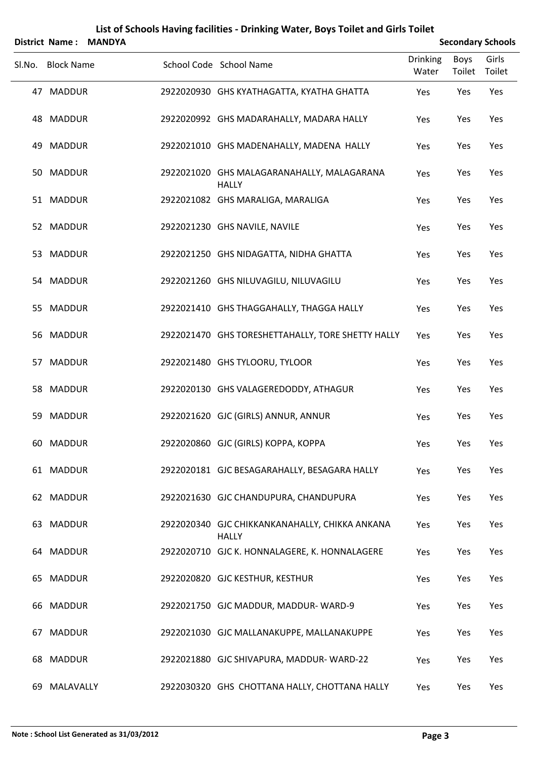|        | <b>District Name:</b> | <b>MANDYA</b> |                                                                |                          |                       | <b>Secondary Schools</b> |
|--------|-----------------------|---------------|----------------------------------------------------------------|--------------------------|-----------------------|--------------------------|
| SI.No. | <b>Block Name</b>     |               | School Code School Name                                        | <b>Drinking</b><br>Water | <b>Boys</b><br>Toilet | Girls<br>Toilet          |
|        | 47 MADDUR             |               | 2922020930 GHS KYATHAGATTA, KYATHA GHATTA                      | Yes                      | Yes                   | Yes                      |
|        | 48 MADDUR             |               | 2922020992 GHS MADARAHALLY, MADARA HALLY                       | Yes                      | Yes                   | Yes                      |
| 49     | <b>MADDUR</b>         |               | 2922021010 GHS MADENAHALLY, MADENA HALLY                       | Yes                      | Yes                   | Yes                      |
|        | 50 MADDUR             |               | 2922021020 GHS MALAGARANAHALLY, MALAGARANA<br><b>HALLY</b>     | Yes                      | Yes                   | Yes                      |
|        | 51 MADDUR             |               | 2922021082 GHS MARALIGA, MARALIGA                              | Yes                      | Yes                   | Yes                      |
|        | 52 MADDUR             |               | 2922021230 GHS NAVILE, NAVILE                                  | Yes                      | Yes                   | Yes                      |
|        | 53 MADDUR             |               | 2922021250 GHS NIDAGATTA, NIDHA GHATTA                         | Yes                      | Yes                   | Yes                      |
|        | 54 MADDUR             |               | 2922021260 GHS NILUVAGILU, NILUVAGILU                          | Yes                      | Yes                   | Yes                      |
| 55     | <b>MADDUR</b>         |               | 2922021410 GHS THAGGAHALLY, THAGGA HALLY                       | Yes                      | Yes                   | Yes                      |
|        | 56 MADDUR             |               | 2922021470 GHS TORESHETTAHALLY, TORE SHETTY HALLY              | Yes                      | Yes                   | Yes                      |
| 57     | <b>MADDUR</b>         |               | 2922021480 GHS TYLOORU, TYLOOR                                 | Yes                      | Yes                   | Yes                      |
|        | 58 MADDUR             |               | 2922020130 GHS VALAGEREDODDY, ATHAGUR                          | Yes                      | Yes                   | Yes                      |
| 59     | <b>MADDUR</b>         |               | 2922021620 GJC (GIRLS) ANNUR, ANNUR                            | Yes                      | Yes                   | Yes                      |
|        | 60 MADDUR             |               | 2922020860 GJC (GIRLS) KOPPA, KOPPA                            | Yes                      | Yes                   | Yes                      |
|        | 61 MADDUR             |               | 2922020181 GJC BESAGARAHALLY, BESAGARA HALLY                   | Yes                      | Yes                   | Yes                      |
|        | 62 MADDUR             |               | 2922021630 GJC CHANDUPURA, CHANDUPURA                          | Yes                      | Yes                   | Yes                      |
| 63     | <b>MADDUR</b>         |               | 2922020340 GJC CHIKKANKANAHALLY, CHIKKA ANKANA<br><b>HALLY</b> | Yes                      | Yes                   | Yes                      |
|        | 64 MADDUR             |               | 2922020710 GJC K. HONNALAGERE, K. HONNALAGERE                  | Yes                      | Yes                   | Yes                      |
| 65     | MADDUR                |               | 2922020820 GJC KESTHUR, KESTHUR                                | Yes                      | Yes                   | Yes                      |
|        | 66 MADDUR             |               | 2922021750 GJC MADDUR, MADDUR-WARD-9                           | Yes                      | Yes                   | Yes                      |
| 67     | MADDUR                |               | 2922021030 GJC MALLANAKUPPE, MALLANAKUPPE                      | Yes                      | Yes                   | Yes                      |
| 68     | <b>MADDUR</b>         |               | 2922021880 GJC SHIVAPURA, MADDUR-WARD-22                       | Yes                      | Yes                   | Yes                      |
| 69     | MALAVALLY             |               | 2922030320 GHS CHOTTANA HALLY, CHOTTANA HALLY                  | Yes                      | Yes                   | Yes                      |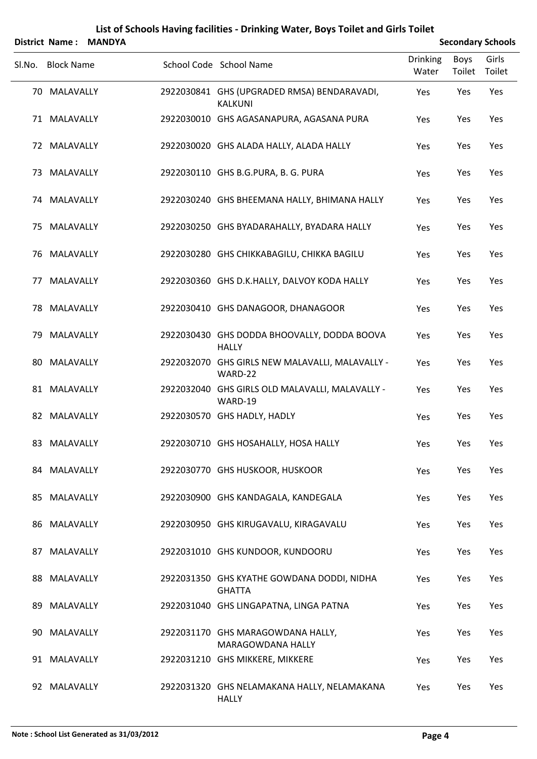|        |                   | District Name: MANDYA |                                                               |                          |                | <b>Secondary Schools</b> |
|--------|-------------------|-----------------------|---------------------------------------------------------------|--------------------------|----------------|--------------------------|
| SI.No. | <b>Block Name</b> |                       | School Code School Name                                       | <b>Drinking</b><br>Water | Boys<br>Toilet | Girls<br>Toilet          |
|        | 70 MALAVALLY      |                       | 2922030841 GHS (UPGRADED RMSA) BENDARAVADI,<br><b>KALKUNI</b> | Yes                      | Yes            | Yes                      |
|        | 71 MALAVALLY      |                       | 2922030010 GHS AGASANAPURA, AGASANA PURA                      | Yes                      | Yes            | Yes                      |
|        | 72 MALAVALLY      |                       | 2922030020 GHS ALADA HALLY, ALADA HALLY                       | Yes                      | Yes            | Yes                      |
|        | 73 MALAVALLY      |                       | 2922030110 GHS B.G.PURA, B. G. PURA                           | Yes                      | Yes            | Yes                      |
|        | 74 MALAVALLY      |                       | 2922030240 GHS BHEEMANA HALLY, BHIMANA HALLY                  | Yes                      | Yes            | Yes                      |
|        | 75 MALAVALLY      |                       | 2922030250 GHS BYADARAHALLY, BYADARA HALLY                    | Yes                      | Yes            | Yes                      |
| 76     | MALAVALLY         |                       | 2922030280 GHS CHIKKABAGILU, CHIKKA BAGILU                    | Yes                      | Yes            | Yes                      |
| 77     | MALAVALLY         |                       | 2922030360 GHS D.K.HALLY, DALVOY KODA HALLY                   | Yes                      | Yes            | Yes                      |
| 78     | MALAVALLY         |                       | 2922030410 GHS DANAGOOR, DHANAGOOR                            | Yes                      | Yes            | Yes                      |
|        | 79 MALAVALLY      |                       | 2922030430 GHS DODDA BHOOVALLY, DODDA BOOVA<br><b>HALLY</b>   | Yes                      | Yes            | Yes                      |
| 80     | MALAVALLY         |                       | 2922032070 GHS GIRLS NEW MALAVALLI, MALAVALLY -<br>WARD-22    | Yes                      | Yes            | Yes                      |
|        | 81 MALAVALLY      |                       | 2922032040 GHS GIRLS OLD MALAVALLI, MALAVALLY -<br>WARD-19    | Yes                      | Yes            | Yes                      |
|        | 82 MALAVALLY      |                       | 2922030570 GHS HADLY, HADLY                                   | Yes                      | Yes            | Yes                      |
|        | 83 MALAVALLY      |                       | 2922030710 GHS HOSAHALLY, HOSA HALLY                          | Yes                      | Yes            | Yes                      |
|        | 84 MALAVALLY      |                       | 2922030770 GHS HUSKOOR, HUSKOOR                               | Yes                      | Yes            | Yes                      |
|        | 85 MALAVALLY      |                       | 2922030900 GHS KANDAGALA, KANDEGALA                           | Yes                      | Yes            | Yes                      |
|        | 86 MALAVALLY      |                       | 2922030950 GHS KIRUGAVALU, KIRAGAVALU                         | Yes                      | Yes            | Yes                      |
|        | 87 MALAVALLY      |                       | 2922031010 GHS KUNDOOR, KUNDOORU                              | Yes                      | Yes            | Yes                      |
|        | 88 MALAVALLY      |                       | 2922031350 GHS KYATHE GOWDANA DODDI, NIDHA<br><b>GHATTA</b>   | Yes                      | Yes            | Yes                      |
|        | 89 MALAVALLY      |                       | 2922031040 GHS LINGAPATNA, LINGA PATNA                        | Yes                      | Yes            | Yes                      |
|        | 90 MALAVALLY      |                       | 2922031170 GHS MARAGOWDANA HALLY,<br>MARAGOWDANA HALLY        | Yes                      | Yes            | Yes                      |
|        | 91 MALAVALLY      |                       | 2922031210 GHS MIKKERE, MIKKERE                               | Yes                      | Yes            | Yes                      |
|        | 92 MALAVALLY      |                       | 2922031320 GHS NELAMAKANA HALLY, NELAMAKANA<br><b>HALLY</b>   | Yes                      | Yes            | Yes                      |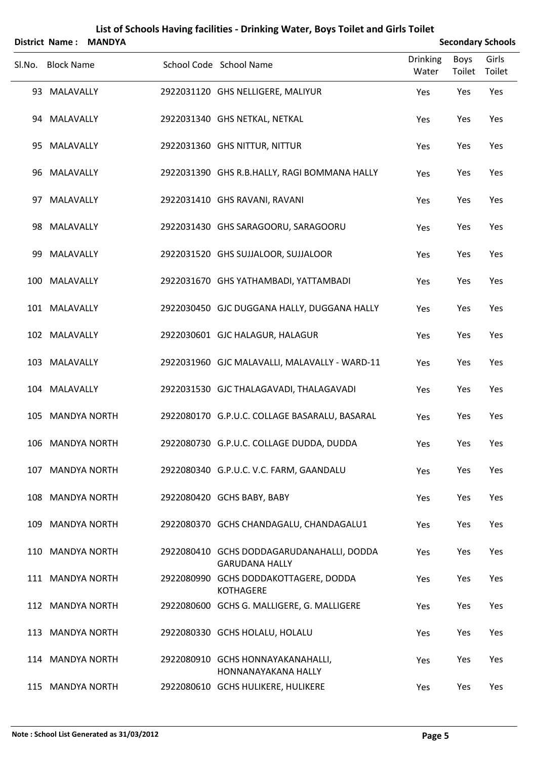|        | <b>District Name:</b> | <b>MANDYA</b> |                                                                    |                   |                       | <b>Secondary Schools</b> |
|--------|-----------------------|---------------|--------------------------------------------------------------------|-------------------|-----------------------|--------------------------|
| SI.No. | <b>Block Name</b>     |               | School Code School Name                                            | Drinking<br>Water | <b>Boys</b><br>Toilet | Girls<br>Toilet          |
|        | 93 MALAVALLY          |               | 2922031120 GHS NELLIGERE, MALIYUR                                  | Yes               | Yes                   | Yes                      |
|        | 94 MALAVALLY          |               | 2922031340 GHS NETKAL, NETKAL                                      | Yes               | Yes                   | Yes                      |
| 95     | MALAVALLY             |               | 2922031360 GHS NITTUR, NITTUR                                      | Yes               | Yes                   | Yes                      |
|        | 96 MALAVALLY          |               | 2922031390 GHS R.B.HALLY, RAGI BOMMANA HALLY                       | Yes               | Yes                   | Yes                      |
|        | 97 MALAVALLY          |               | 2922031410 GHS RAVANI, RAVANI                                      | Yes               | Yes                   | Yes                      |
|        | 98 MALAVALLY          |               | 2922031430 GHS SARAGOORU, SARAGOORU                                | Yes               | Yes                   | Yes                      |
| 99     | MALAVALLY             |               | 2922031520 GHS SUJJALOOR, SUJJALOOR                                | Yes               | Yes                   | Yes                      |
|        | 100 MALAVALLY         |               | 2922031670 GHS YATHAMBADI, YATTAMBADI                              | Yes               | Yes                   | Yes                      |
|        | 101 MALAVALLY         |               | 2922030450 GJC DUGGANA HALLY, DUGGANA HALLY                        | Yes               | Yes                   | Yes                      |
|        | 102 MALAVALLY         |               | 2922030601 GJC HALAGUR, HALAGUR                                    | Yes               | Yes                   | Yes                      |
|        | 103 MALAVALLY         |               | 2922031960 GJC MALAVALLI, MALAVALLY - WARD-11                      | Yes               | Yes                   | Yes                      |
|        | 104 MALAVALLY         |               | 2922031530 GJC THALAGAVADI, THALAGAVADI                            | Yes               | Yes                   | Yes                      |
|        | 105 MANDYA NORTH      |               | 2922080170 G.P.U.C. COLLAGE BASARALU, BASARAL                      | Yes               | Yes                   | Yes                      |
|        | 106 MANDYA NORTH      |               | 2922080730 G.P.U.C. COLLAGE DUDDA, DUDDA                           | Yes               | Yes                   | Yes                      |
|        | 107 MANDYA NORTH      |               | 2922080340 G.P.U.C. V.C. FARM, GAANDALU                            | Yes               | Yes                   | Yes                      |
|        | 108 MANDYA NORTH      |               | 2922080420 GCHS BABY, BABY                                         | Yes               | Yes                   | Yes                      |
|        | 109 MANDYA NORTH      |               | 2922080370 GCHS CHANDAGALU, CHANDAGALU1                            | Yes               | Yes                   | Yes                      |
|        | 110 MANDYA NORTH      |               | 2922080410 GCHS DODDAGARUDANAHALLI, DODDA<br><b>GARUDANA HALLY</b> | Yes               | Yes                   | Yes                      |
|        | 111 MANDYA NORTH      |               | 2922080990 GCHS DODDAKOTTAGERE, DODDA<br><b>KOTHAGERE</b>          | Yes               | Yes                   | Yes                      |
|        | 112 MANDYA NORTH      |               | 2922080600 GCHS G. MALLIGERE, G. MALLIGERE                         | Yes               | Yes                   | Yes                      |
|        | 113 MANDYA NORTH      |               | 2922080330 GCHS HOLALU, HOLALU                                     | Yes               | Yes                   | Yes                      |
|        | 114 MANDYA NORTH      |               | 2922080910 GCHS HONNAYAKANAHALLI,<br>HONNANAYAKANA HALLY           | Yes               | Yes                   | Yes                      |
|        | 115 MANDYA NORTH      |               | 2922080610 GCHS HULIKERE, HULIKERE                                 | Yes               | Yes                   | Yes                      |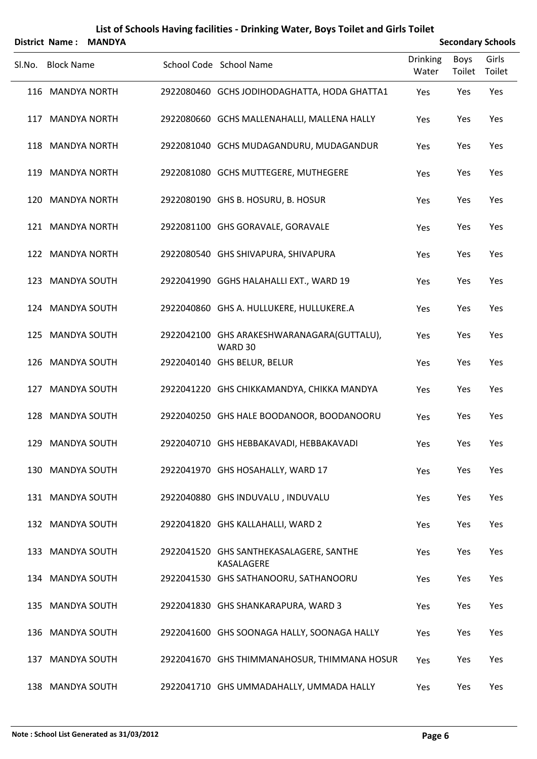|        | <b>District Name:</b> | <b>MANDYA</b> |                                                       |                          |                       | <b>Secondary Schools</b> |
|--------|-----------------------|---------------|-------------------------------------------------------|--------------------------|-----------------------|--------------------------|
| SI.No. | <b>Block Name</b>     |               | School Code School Name                               | <b>Drinking</b><br>Water | <b>Boys</b><br>Toilet | Girls<br>Toilet          |
|        | 116 MANDYA NORTH      |               | 2922080460 GCHS JODIHODAGHATTA, HODA GHATTA1          | Yes                      | Yes                   | Yes                      |
|        | 117 MANDYA NORTH      |               | 2922080660 GCHS MALLENAHALLI, MALLENA HALLY           | Yes                      | Yes                   | Yes                      |
|        | 118 MANDYA NORTH      |               | 2922081040 GCHS MUDAGANDURU, MUDAGANDUR               | Yes                      | Yes                   | Yes                      |
|        | 119 MANDYA NORTH      |               | 2922081080 GCHS MUTTEGERE, MUTHEGERE                  | Yes                      | Yes                   | Yes                      |
|        | 120 MANDYA NORTH      |               | 2922080190 GHS B. HOSURU, B. HOSUR                    | Yes                      | Yes                   | Yes                      |
|        | 121 MANDYA NORTH      |               | 2922081100 GHS GORAVALE, GORAVALE                     | Yes                      | Yes                   | Yes                      |
|        | 122 MANDYA NORTH      |               | 2922080540 GHS SHIVAPURA, SHIVAPURA                   | Yes                      | Yes                   | Yes                      |
|        | 123 MANDYA SOUTH      |               | 2922041990 GGHS HALAHALLI EXT., WARD 19               | Yes                      | Yes                   | Yes                      |
|        | 124 MANDYA SOUTH      |               | 2922040860 GHS A. HULLUKERE, HULLUKERE.A              | Yes                      | Yes                   | Yes                      |
|        | 125 MANDYA SOUTH      |               | 2922042100 GHS ARAKESHWARANAGARA(GUTTALU),<br>WARD 30 | Yes                      | Yes                   | Yes                      |
|        | 126 MANDYA SOUTH      |               | 2922040140 GHS BELUR, BELUR                           | Yes                      | Yes                   | Yes                      |
| 127    | <b>MANDYA SOUTH</b>   |               | 2922041220 GHS CHIKKAMANDYA, CHIKKA MANDYA            | Yes                      | Yes                   | Yes                      |
|        | 128 MANDYA SOUTH      |               | 2922040250 GHS HALE BOODANOOR, BOODANOORU             | Yes                      | Yes                   | Yes                      |
|        | 129 MANDYA SOUTH      |               | 2922040710 GHS HEBBAKAVADI, HEBBAKAVADI               | Yes                      | Yes                   | Yes                      |
|        | 130 MANDYA SOUTH      |               | 2922041970 GHS HOSAHALLY, WARD 17                     | Yes                      | Yes                   | Yes                      |
|        | 131 MANDYA SOUTH      |               | 2922040880 GHS INDUVALU, INDUVALU                     | Yes                      | Yes                   | Yes                      |
|        | 132 MANDYA SOUTH      |               | 2922041820 GHS KALLAHALLI, WARD 2                     | Yes                      | Yes                   | Yes                      |
|        | 133 MANDYA SOUTH      |               | 2922041520 GHS SANTHEKASALAGERE, SANTHE<br>KASALAGERE | Yes                      | Yes                   | Yes                      |
|        | 134 MANDYA SOUTH      |               | 2922041530 GHS SATHANOORU, SATHANOORU                 | Yes                      | Yes                   | Yes                      |
|        | 135 MANDYA SOUTH      |               | 2922041830 GHS SHANKARAPURA, WARD 3                   | Yes                      | Yes                   | Yes                      |
|        | 136 MANDYA SOUTH      |               | 2922041600 GHS SOONAGA HALLY, SOONAGA HALLY           | Yes                      | Yes                   | Yes                      |
|        | 137 MANDYA SOUTH      |               | 2922041670 GHS THIMMANAHOSUR, THIMMANA HOSUR          | Yes                      | Yes                   | Yes                      |
|        | 138 MANDYA SOUTH      |               | 2922041710 GHS UMMADAHALLY, UMMADA HALLY              | Yes                      | Yes                   | Yes                      |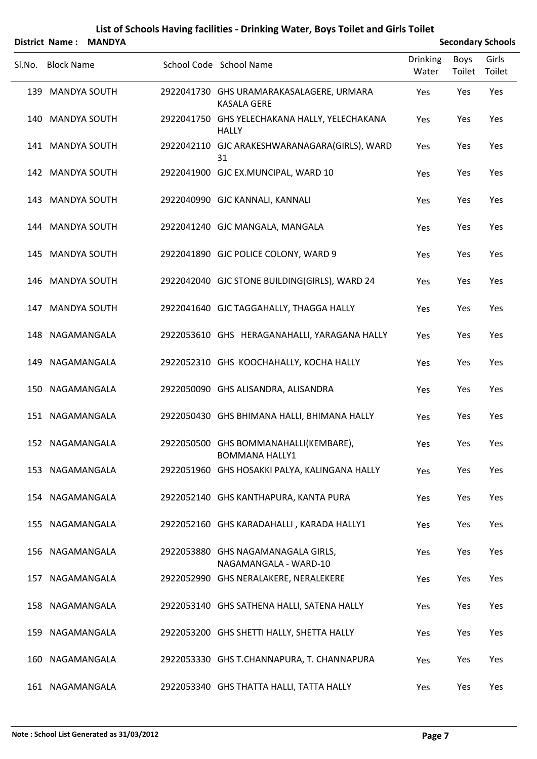|     | <b>District Name:</b><br><b>MANDYA</b> |  |  |                                                                |                          | <b>Secondary Schools</b> |                 |  |  |
|-----|----------------------------------------|--|--|----------------------------------------------------------------|--------------------------|--------------------------|-----------------|--|--|
|     | Sl.No. Block Name                      |  |  | School Code School Name                                        | <b>Drinking</b><br>Water | Boys<br>Toilet           | Girls<br>Toilet |  |  |
|     | 139 MANDYA SOUTH                       |  |  | 2922041730 GHS URAMARAKASALAGERE, URMARA<br><b>KASALA GERE</b> | Yes                      | Yes                      | Yes             |  |  |
|     | 140 MANDYA SOUTH                       |  |  | 2922041750 GHS YELECHAKANA HALLY, YELECHAKANA<br><b>HALLY</b>  | Yes                      | Yes                      | Yes             |  |  |
|     | 141 MANDYA SOUTH                       |  |  | 2922042110 GJC ARAKESHWARANAGARA(GIRLS), WARD<br>31            | Yes                      | Yes                      | Yes             |  |  |
|     | 142 MANDYA SOUTH                       |  |  | 2922041900 GJC EX.MUNCIPAL, WARD 10                            | Yes                      | Yes                      | Yes             |  |  |
|     | 143 MANDYA SOUTH                       |  |  | 2922040990 GJC KANNALI, KANNALI                                | Yes                      | Yes                      | Yes             |  |  |
|     | 144 MANDYA SOUTH                       |  |  | 2922041240 GJC MANGALA, MANGALA                                | Yes                      | Yes                      | Yes             |  |  |
| 145 | <b>MANDYA SOUTH</b>                    |  |  | 2922041890 GJC POLICE COLONY, WARD 9                           | Yes                      | Yes                      | Yes             |  |  |
|     | 146 MANDYA SOUTH                       |  |  | 2922042040 GJC STONE BUILDING(GIRLS), WARD 24                  | Yes                      | Yes                      | Yes             |  |  |
| 147 | <b>MANDYA SOUTH</b>                    |  |  | 2922041640 GJC TAGGAHALLY, THAGGA HALLY                        | Yes                      | Yes                      | Yes             |  |  |
|     | 148 NAGAMANGALA                        |  |  | 2922053610 GHS HERAGANAHALLI, YARAGANA HALLY                   | Yes                      | Yes                      | Yes             |  |  |
| 149 | NAGAMANGALA                            |  |  | 2922052310 GHS KOOCHAHALLY, KOCHA HALLY                        | Yes                      | Yes                      | Yes             |  |  |
|     | 150 NAGAMANGALA                        |  |  | 2922050090 GHS ALISANDRA, ALISANDRA                            | Yes                      | Yes                      | Yes             |  |  |
|     | 151 NAGAMANGALA                        |  |  | 2922050430 GHS BHIMANA HALLI, BHIMANA HALLY                    | Yes                      | Yes                      | Yes             |  |  |
|     | 152 NAGAMANGALA                        |  |  | 2922050500 GHS BOMMANAHALLI(KEMBARE),<br><b>BOMMANA HALLY1</b> | Yes                      | Yes                      | Yes             |  |  |
|     | 153 NAGAMANGALA                        |  |  | 2922051960 GHS HOSAKKI PALYA, KALINGANA HALLY                  | Yes                      | Yes                      | Yes             |  |  |
|     | 154 NAGAMANGALA                        |  |  | 2922052140 GHS KANTHAPURA, KANTA PURA                          | Yes                      | Yes                      | Yes             |  |  |
|     | 155 NAGAMANGALA                        |  |  | 2922052160 GHS KARADAHALLI, KARADA HALLY1                      | Yes                      | Yes                      | Yes             |  |  |
|     | 156 NAGAMANGALA                        |  |  | 2922053880 GHS NAGAMANAGALA GIRLS,<br>NAGAMANGALA - WARD-10    | Yes                      | Yes                      | Yes             |  |  |
|     | 157 NAGAMANGALA                        |  |  | 2922052990 GHS NERALAKERE, NERALEKERE                          | Yes                      | Yes                      | Yes             |  |  |
|     | 158 NAGAMANGALA                        |  |  | 2922053140 GHS SATHENA HALLI, SATENA HALLY                     | Yes                      | Yes                      | Yes             |  |  |
|     | 159 NAGAMANGALA                        |  |  | 2922053200 GHS SHETTI HALLY, SHETTA HALLY                      | Yes                      | Yes                      | Yes             |  |  |
| 160 | NAGAMANGALA                            |  |  | 2922053330 GHS T.CHANNAPURA, T. CHANNAPURA                     | Yes                      | Yes                      | Yes             |  |  |
|     | 161 NAGAMANGALA                        |  |  | 2922053340 GHS THATTA HALLI, TATTA HALLY                       | Yes                      | Yes                      | Yes             |  |  |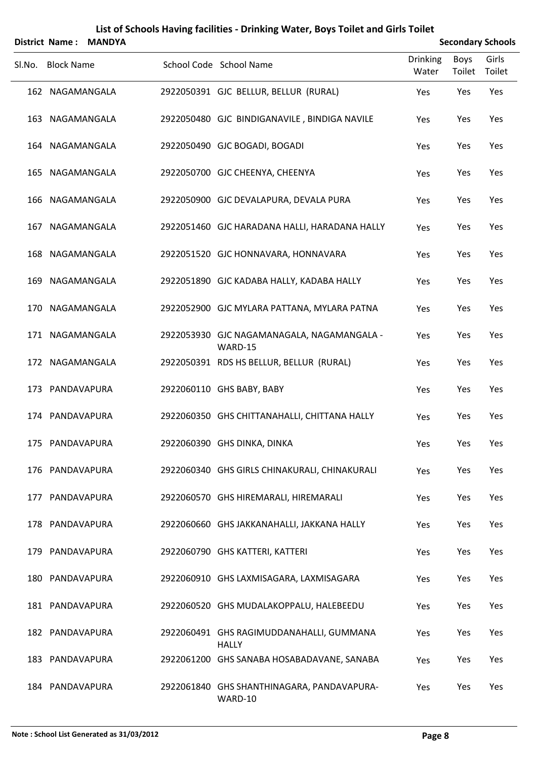|        | <b>District Name:</b><br><b>MANDYA</b> |  |  |                                                          | <b>Secondary Schools</b> |                       |                 |  |
|--------|----------------------------------------|--|--|----------------------------------------------------------|--------------------------|-----------------------|-----------------|--|
| Sl.No. | <b>Block Name</b>                      |  |  | School Code School Name                                  | <b>Drinking</b><br>Water | <b>Boys</b><br>Toilet | Girls<br>Toilet |  |
|        | 162 NAGAMANGALA                        |  |  | 2922050391 GJC BELLUR, BELLUR (RURAL)                    | Yes                      | Yes                   | Yes             |  |
|        | 163 NAGAMANGALA                        |  |  | 2922050480 GJC BINDIGANAVILE, BINDIGA NAVILE             | Yes                      | Yes                   | Yes             |  |
|        | 164 NAGAMANGALA                        |  |  | 2922050490 GJC BOGADI, BOGADI                            | Yes                      | Yes                   | Yes             |  |
|        | 165 NAGAMANGALA                        |  |  | 2922050700 GJC CHEENYA, CHEENYA                          | Yes                      | Yes                   | Yes             |  |
| 166    | NAGAMANGALA                            |  |  | 2922050900 GJC DEVALAPURA, DEVALA PURA                   | Yes                      | Yes                   | Yes             |  |
| 167    | NAGAMANGALA                            |  |  | 2922051460 GJC HARADANA HALLI, HARADANA HALLY            | Yes                      | Yes                   | Yes             |  |
| 168    | NAGAMANGALA                            |  |  | 2922051520 GJC HONNAVARA, HONNAVARA                      | Yes                      | Yes                   | Yes             |  |
| 169    | NAGAMANGALA                            |  |  | 2922051890 GJC KADABA HALLY, KADABA HALLY                | Yes                      | Yes                   | Yes             |  |
| 170    | NAGAMANGALA                            |  |  | 2922052900 GJC MYLARA PATTANA, MYLARA PATNA              | Yes                      | Yes                   | Yes             |  |
|        | 171 NAGAMANGALA                        |  |  | 2922053930 GJC NAGAMANAGALA, NAGAMANGALA -<br>WARD-15    | Yes                      | Yes                   | Yes             |  |
|        | 172 NAGAMANGALA                        |  |  | 2922050391 RDS HS BELLUR, BELLUR (RURAL)                 | Yes                      | Yes                   | Yes             |  |
|        | 173 PANDAVAPURA                        |  |  | 2922060110 GHS BABY, BABY                                | Yes                      | Yes                   | Yes             |  |
|        | 174 PANDAVAPURA                        |  |  | 2922060350 GHS CHITTANAHALLI, CHITTANA HALLY             | Yes                      | Yes                   | Yes             |  |
|        | 175 PANDAVAPURA                        |  |  | 2922060390 GHS DINKA, DINKA                              | Yes                      | Yes                   | Yes             |  |
|        | 176 PANDAVAPURA                        |  |  | 2922060340 GHS GIRLS CHINAKURALI, CHINAKURALI            | Yes                      | Yes                   | Yes             |  |
|        | 177 PANDAVAPURA                        |  |  | 2922060570 GHS HIREMARALI, HIREMARALI                    | Yes                      | Yes                   | Yes             |  |
|        | 178 PANDAVAPURA                        |  |  | 2922060660 GHS JAKKANAHALLI, JAKKANA HALLY               | Yes                      | Yes                   | Yes             |  |
|        | 179 PANDAVAPURA                        |  |  | 2922060790 GHS KATTERI, KATTERI                          | Yes                      | Yes                   | Yes             |  |
|        | 180 PANDAVAPURA                        |  |  | 2922060910 GHS LAXMISAGARA, LAXMISAGARA                  | Yes                      | Yes                   | Yes             |  |
|        | 181 PANDAVAPURA                        |  |  | 2922060520 GHS MUDALAKOPPALU, HALEBEEDU                  | Yes                      | Yes                   | Yes             |  |
|        | 182 PANDAVAPURA                        |  |  | 2922060491 GHS RAGIMUDDANAHALLI, GUMMANA<br><b>HALLY</b> | Yes                      | Yes                   | Yes             |  |
|        | 183 PANDAVAPURA                        |  |  | 2922061200 GHS SANABA HOSABADAVANE, SANABA               | Yes                      | Yes                   | Yes             |  |
|        | 184 PANDAVAPURA                        |  |  | 2922061840 GHS SHANTHINAGARA, PANDAVAPURA-<br>WARD-10    | Yes                      | Yes                   | Yes             |  |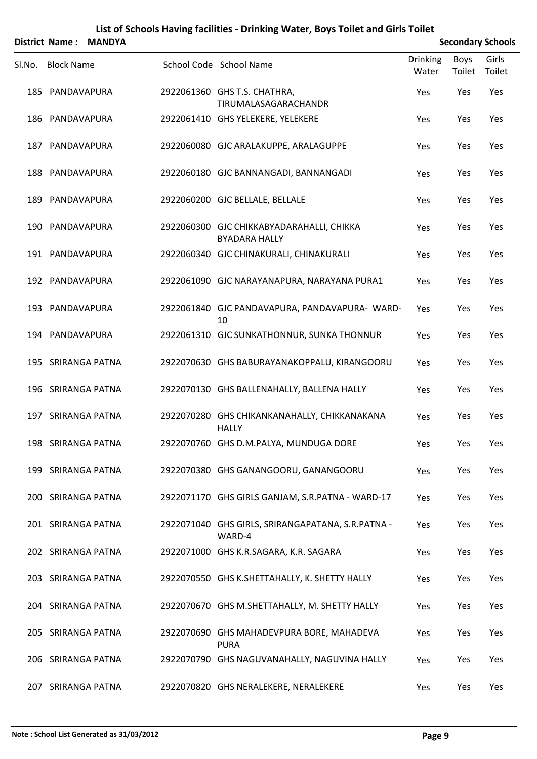|        | <b>District Name:</b> | <b>MANDYA</b> |                                                                   |                          |                       | <b>Secondary Schools</b> |
|--------|-----------------------|---------------|-------------------------------------------------------------------|--------------------------|-----------------------|--------------------------|
| Sl.No. | <b>Block Name</b>     |               | School Code School Name                                           | <b>Drinking</b><br>Water | <b>Boys</b><br>Toilet | Girls<br>Toilet          |
|        | 185 PANDAVAPURA       |               | 2922061360 GHS T.S. CHATHRA,<br>TIRUMALASAGARACHANDR              | Yes                      | Yes                   | Yes                      |
|        | 186 PANDAVAPURA       |               | 2922061410 GHS YELEKERE, YELEKERE                                 | Yes                      | Yes                   | Yes                      |
|        | 187 PANDAVAPURA       |               | 2922060080 GJC ARALAKUPPE, ARALAGUPPE                             | Yes                      | Yes                   | Yes                      |
|        | 188 PANDAVAPURA       |               | 2922060180 GJC BANNANGADI, BANNANGADI                             | Yes                      | Yes                   | Yes                      |
|        | 189 PANDAVAPURA       |               | 2922060200 GJC BELLALE, BELLALE                                   | Yes                      | Yes                   | Yes                      |
|        | 190 PANDAVAPURA       |               | 2922060300 GJC CHIKKABYADARAHALLI, CHIKKA<br><b>BYADARA HALLY</b> | Yes                      | Yes                   | Yes                      |
|        | 191 PANDAVAPURA       |               | 2922060340 GJC CHINAKURALI, CHINAKURALI                           | Yes                      | Yes                   | Yes                      |
|        | 192 PANDAVAPURA       |               | 2922061090 GJC NARAYANAPURA, NARAYANA PURA1                       | Yes                      | Yes                   | Yes                      |
|        | 193 PANDAVAPURA       |               | 2922061840 GJC PANDAVAPURA, PANDAVAPURA-WARD-<br>10               | Yes                      | Yes                   | Yes                      |
|        | 194 PANDAVAPURA       |               | 2922061310 GJC SUNKATHONNUR, SUNKA THONNUR                        | Yes                      | Yes                   | Yes                      |
|        | 195 SRIRANGA PATNA    |               | 2922070630 GHS BABURAYANAKOPPALU, KIRANGOORU                      | Yes                      | Yes                   | Yes                      |
|        | 196 SRIRANGA PATNA    |               | 2922070130 GHS BALLENAHALLY, BALLENA HALLY                        | Yes                      | Yes                   | Yes                      |
|        | 197 SRIRANGA PATNA    |               | 2922070280 GHS CHIKANKANAHALLY, CHIKKANAKANA<br><b>HALLY</b>      | Yes                      | Yes                   | Yes                      |
|        | 198 SRIRANGA PATNA    |               | 2922070760 GHS D.M.PALYA, MUNDUGA DORE                            | Yes                      | Yes                   | Yes                      |
|        | 199 SRIRANGA PATNA    |               | 2922070380 GHS GANANGOORU, GANANGOORU                             | Yes                      | Yes                   | Yes                      |
|        | 200 SRIRANGA PATNA    |               | 2922071170 GHS GIRLS GANJAM, S.R.PATNA - WARD-17                  | Yes                      | Yes                   | Yes                      |
|        | 201 SRIRANGA PATNA    |               | 2922071040 GHS GIRLS, SRIRANGAPATANA, S.R.PATNA -<br>WARD-4       | Yes                      | Yes                   | Yes                      |
|        | 202 SRIRANGA PATNA    |               | 2922071000 GHS K.R.SAGARA, K.R. SAGARA                            | Yes                      | Yes                   | Yes                      |
|        | 203 SRIRANGA PATNA    |               | 2922070550 GHS K.SHETTAHALLY, K. SHETTY HALLY                     | Yes                      | Yes                   | Yes                      |
|        | 204 SRIRANGA PATNA    |               | 2922070670 GHS M.SHETTAHALLY, M. SHETTY HALLY                     | Yes                      | Yes                   | Yes                      |
|        | 205 SRIRANGA PATNA    |               | 2922070690 GHS MAHADEVPURA BORE, MAHADEVA<br><b>PURA</b>          | Yes                      | Yes                   | Yes                      |
|        | 206 SRIRANGA PATNA    |               | 2922070790 GHS NAGUVANAHALLY, NAGUVINA HALLY                      | Yes                      | Yes                   | Yes                      |
|        | 207 SRIRANGA PATNA    |               | 2922070820 GHS NERALEKERE, NERALEKERE                             | Yes                      | Yes                   | Yes                      |